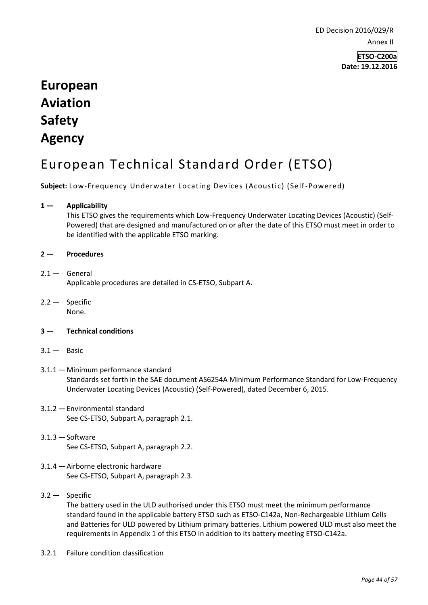ED Decision 2016/029/R Annex II

> **ETSO-C200a Date: 19.12.2016**

# **European Aviation Safety Agency**

# European Technical Standard Order (ETSO)

**Subject:** Low-Frequency Underwater Locating Devices (Acoustic) (Self-Powered)

## **1 — Applicability**

This ETSO gives the requirements which Low-Frequency Underwater Locating Devices (Acoustic) (Self-Powered) that are designed and manufactured on or after the date of this ETSO must meet in order to be identified with the applicable ETSO marking.

#### **2 — Procedures**

## $2.1 -$  General

Applicable procedures are detailed in CS-ETSO, Subpart A.

2.2 — Specific None.

#### **3 — Technical conditions**

- $3.1 -$  Basic
- 3.1.1 —Minimum performance standard Standards set forth in the SAE document AS6254A Minimum Performance Standard for Low-Frequency Underwater Locating Devices (Acoustic) (Self-Powered), dated December 6, 2015.
- 3.1.2 —Environmental standard See CS-ETSO, Subpart A, paragraph 2.1.
- $3.1.3 -$ Software See CS-ETSO, Subpart A, paragraph 2.2.
- 3.1.4 —Airborne electronic hardware See CS-ETSO, Subpart A, paragraph 2.3.

## 3.2 — Specific

The battery used in the ULD authorised under this ETSO must meet the minimum performance standard found in the applicable battery ETSO such as ETSO-C142a, Non-Rechargeable Lithium Cells and Batteries for ULD powered by Lithium primary batteries. Lithium powered ULD must also meet the requirements in Appendix 1 of this ETSO in addition to its battery meeting ETSO-C142a.

3.2.1 Failure condition classification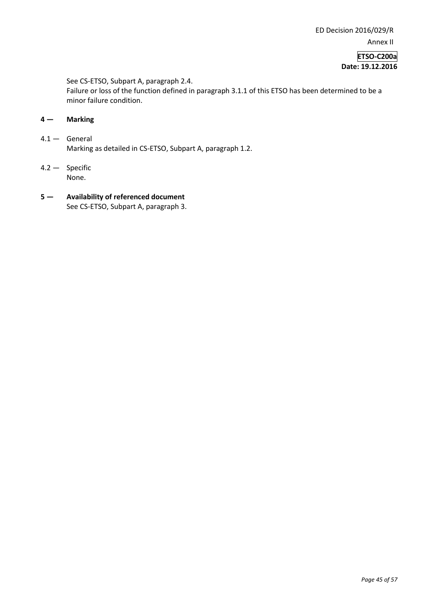**ETSO-C200a Date: 19.12.2016**

See CS-ETSO, Subpart A, paragraph 2.4.

Failure or loss of the function defined in paragraph 3.1.1 of this ETSO has been determined to be a minor failure condition.

- **4 — Marking**
- 4.1 General Marking as detailed in CS-ETSO, Subpart A, paragraph 1.2.
- 4.2 Specific None.
- **5 — Availability of referenced document**  See CS-ETSO, Subpart A, paragraph 3.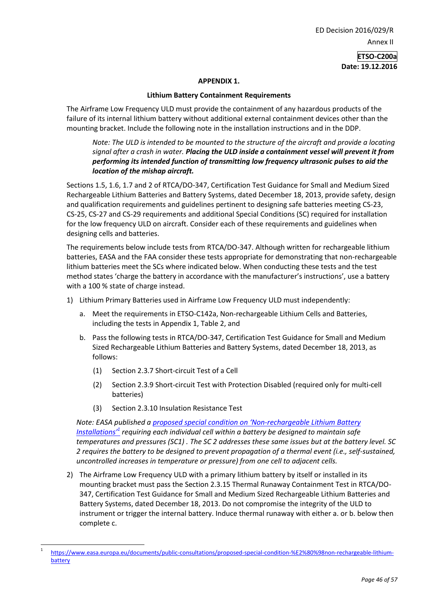ED Decision 2016/029/R Annex II

> **ETSO-C200a Date: 19.12.2016**

#### **APPENDIX 1.**

### **Lithium Battery Containment Requirements**

The Airframe Low Frequency ULD must provide the containment of any hazardous products of the failure of its internal lithium battery without additional external containment devices other than the mounting bracket. Include the following note in the installation instructions and in the DDP.

## *Note: The ULD is intended to be mounted to the structure of the aircraft and provide a locating signal after a crash in water. Placing the ULD inside a containment vessel will prevent it from performing its intended function of transmitting low frequency ultrasonic pulses to aid the location of the mishap aircraft.*

Sections 1.5, 1.6, 1.7 and 2 of RTCA/DO-347, Certification Test Guidance for Small and Medium Sized Rechargeable Lithium Batteries and Battery Systems, dated December 18, 2013, provide safety, design and qualification requirements and guidelines pertinent to designing safe batteries meeting CS-23, CS-25, CS-27 and CS-29 requirements and additional Special Conditions (SC) required for installation for the low frequency ULD on aircraft. Consider each of these requirements and guidelines when designing cells and batteries.

The requirements below include tests from RTCA/DO-347. Although written for rechargeable lithium batteries, EASA and the FAA consider these tests appropriate for demonstrating that non-rechargeable lithium batteries meet the SCs where indicated below. When conducting these tests and the test method states 'charge the battery in accordance with the manufacturer's instructions', use a battery with a 100 % state of charge instead.

- 1) Lithium Primary Batteries used in Airframe Low Frequency ULD must independently:
	- a. Meet the requirements in ETSO-C142a, Non-rechargeable Lithium Cells and Batteries, including the tests in Appendix 1, Table 2, and
	- b. Pass the following tests in RTCA/DO-347, Certification Test Guidance for Small and Medium Sized Rechargeable Lithium Batteries and Battery Systems, dated December 18, 2013, as follows:
		- (1) Section 2.3.7 Short-circuit Test of a Cell
		- (2) Section 2.3.9 Short-circuit Test with Protection Disabled (required only for multi-cell batteries)
		- (3) Section 2.3.10 Insulation Resistance Test

-

*Note: EASA published a proposed special condition on 'Non[-rechargeable Lithium Battery](http://www.easa.europa.eu/documents/public-consultations/proposed-special-condition-%E2%80%98non-rechargeable-lithium-battery)  [Installations'](http://www.easa.europa.eu/documents/public-consultations/proposed-special-condition-%E2%80%98non-rechargeable-lithium-battery)<sup>1</sup> requiring each individual cell within a battery be designed to maintain safe temperatures and pressures (SC1) . The SC 2 addresses these same issues but at the battery level. SC 2 requires the battery to be designed to prevent propagation of a thermal event (i.e., self-sustained, uncontrolled increases in temperature or pressure) from one cell to adjacent cells.* 

2) The Airframe Low Frequency ULD with a primary lithium battery by itself or installed in its mounting bracket must pass the Section 2.3.15 Thermal Runaway Containment Test in RTCA/DO-347, Certification Test Guidance for Small and Medium Sized Rechargeable Lithium Batteries and Battery Systems, dated December 18, 2013. Do not compromise the integrity of the ULD to instrument or trigger the internal battery. Induce thermal runaway with either a. or b. below then complete c.

<sup>1</sup> [https://www.easa.europa.eu/documents/public-consultations/proposed-special-condition-%E2%80%98non-rechargeable-lithium](https://www.easa.europa.eu/documents/public-consultations/proposed-special-condition-%E2%80%98non-rechargeable-lithium-battery)[battery](https://www.easa.europa.eu/documents/public-consultations/proposed-special-condition-%E2%80%98non-rechargeable-lithium-battery)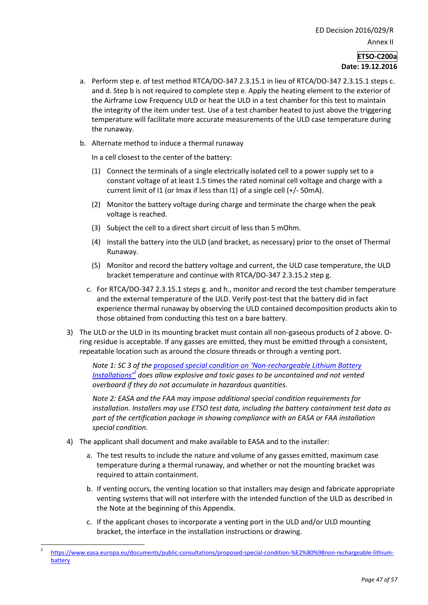#### **ETSO-C200a Date: 19.12.2016**

- a. Perform step e. of test method RTCA/DO-347 2.3.15.1 in lieu of RTCA/DO-347 2.3.15.1 steps c. and d. Step b is not required to complete step e. Apply the heating element to the exterior of the Airframe Low Frequency ULD or heat the ULD in a test chamber for this test to maintain the integrity of the item under test. Use of a test chamber heated to just above the triggering temperature will facilitate more accurate measurements of the ULD case temperature during the runaway.
- b. Alternate method to induce a thermal runaway

In a cell closest to the center of the battery:

- (1) Connect the terminals of a single electrically isolated cell to a power supply set to a constant voltage of at least 1.5 times the rated nominal cell voltage and charge with a current limit of I1 (or Imax if less than I1) of a single cell (+/- 50mA).
- (2) Monitor the battery voltage during charge and terminate the charge when the peak voltage is reached.
- (3) Subject the cell to a direct short circuit of less than 5 mOhm.
- (4) Install the battery into the ULD (and bracket, as necessary) prior to the onset of Thermal Runaway.
- (5) Monitor and record the battery voltage and current, the ULD case temperature, the ULD bracket temperature and continue with RTCA/DO-347 2.3.15.2 step g.
- c. For RTCA/DO-347 2.3.15.1 steps g. and h., monitor and record the test chamber temperature and the external temperature of the ULD. Verify post-test that the battery did in fact experience thermal runaway by observing the ULD contained decomposition products akin to those obtained from conducting this test on a bare battery.
- 3) The ULD or the ULD in its mounting bracket must contain all non-gaseous products of 2 above. Oring residue is acceptable. If any gasses are emitted, they must be emitted through a consistent, repeatable location such as around the closure threads or through a venting port.

*Note 1: SC 3 of the [proposed special condition on 'Non](http://www.easa.europa.eu/documents/public-consultations/proposed-special-condition-%E2%80%98non-rechargeable-lithium-battery)-rechargeable Lithium Battery [Installations'](http://www.easa.europa.eu/documents/public-consultations/proposed-special-condition-%E2%80%98non-rechargeable-lithium-battery)<sup>2</sup> does allow explosive and toxic gases to be uncontained and not vented overboard if they do not accumulate in hazardous quantities.*

*Note 2: EASA and the FAA may impose additional special condition requirements for installation. Installers may use ETSO test data, including the battery containment test data as part of the certification package in showing compliance with an EASA or FAA installation special condition.*

4) The applicant shall document and make available to EASA and to the installer:

-

- a. The test results to include the nature and volume of any gasses emitted, maximum case temperature during a thermal runaway, and whether or not the mounting bracket was required to attain containment.
- b. If venting occurs, the venting location so that installers may design and fabricate appropriate venting systems that will not interfere with the intended function of the ULD as described in the Note at the beginning of this Appendix.
- c. If the applicant choses to incorporate a venting port in the ULD and/or ULD mounting bracket, the interface in the installation instructions or drawing.

<sup>2</sup> [https://www.easa.europa.eu/documents/public-consultations/proposed-special-condition-%E2%80%98non-rechargeable-lithium](https://www.easa.europa.eu/documents/public-consultations/proposed-special-condition-%E2%80%98non-rechargeable-lithium-battery)[battery](https://www.easa.europa.eu/documents/public-consultations/proposed-special-condition-%E2%80%98non-rechargeable-lithium-battery)